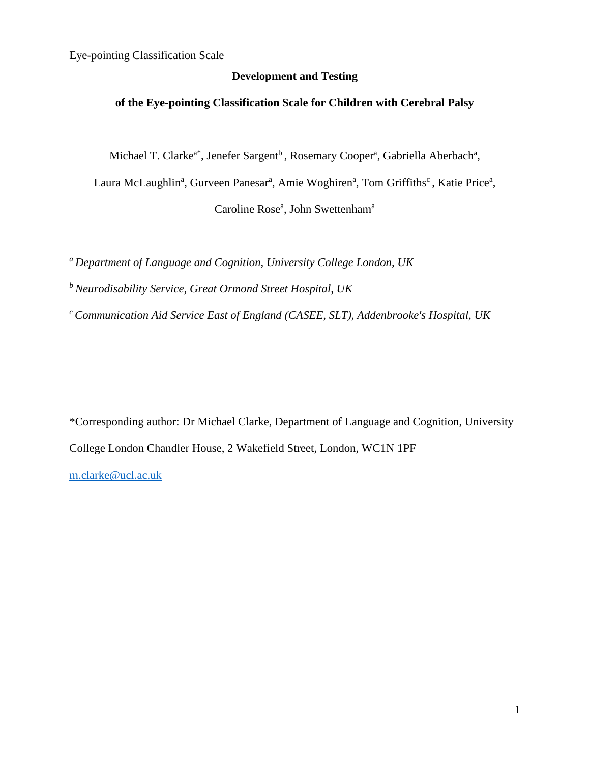## **Development and Testing**

## **of the Eye-pointing Classification Scale for Children with Cerebral Palsy**

Michael T. Clarke<sup>a\*</sup>, Jenefer Sargent<sup>b</sup>, Rosemary Cooper<sup>a</sup>, Gabriella Aberbach<sup>a</sup>,

Laura McLaughlin<sup>a</sup>, Gurveen Panesar<sup>a</sup>, Amie Woghiren<sup>a</sup>, Tom Griffiths<sup>c</sup>, Katie Price<sup>a</sup>,

Caroline Rose<sup>a</sup>, John Swettenham<sup>a</sup>

*<sup>a</sup> Department of Language and Cognition, University College London, UK*

*<sup>b</sup> Neurodisability Service, Great Ormond Street Hospital, UK*

*<sup>c</sup> Communication Aid Service East of England (CASEE, SLT), Addenbrooke's Hospital, UK*

\*Corresponding author: Dr Michael Clarke, Department of Language and Cognition, University College London Chandler House, 2 Wakefield Street, London, WC1N 1PF [m.clarke@ucl.ac.uk](mailto:m.clarke@ucl.ac.uk)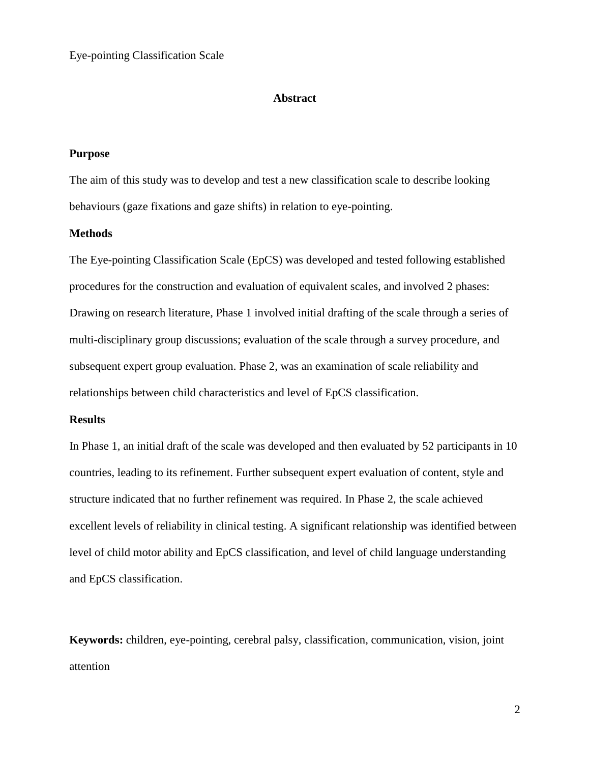#### **Abstract**

## **Purpose**

The aim of this study was to develop and test a new classification scale to describe looking behaviours (gaze fixations and gaze shifts) in relation to eye-pointing.

## **Methods**

The Eye-pointing Classification Scale (EpCS) was developed and tested following established procedures for the construction and evaluation of equivalent scales, and involved 2 phases: Drawing on research literature, Phase 1 involved initial drafting of the scale through a series of multi-disciplinary group discussions; evaluation of the scale through a survey procedure, and subsequent expert group evaluation. Phase 2, was an examination of scale reliability and relationships between child characteristics and level of EpCS classification.

### **Results**

In Phase 1, an initial draft of the scale was developed and then evaluated by 52 participants in 10 countries, leading to its refinement. Further subsequent expert evaluation of content, style and structure indicated that no further refinement was required. In Phase 2, the scale achieved excellent levels of reliability in clinical testing. A significant relationship was identified between level of child motor ability and EpCS classification, and level of child language understanding and EpCS classification.

**Keywords:** children, eye-pointing, cerebral palsy, classification, communication, vision, joint attention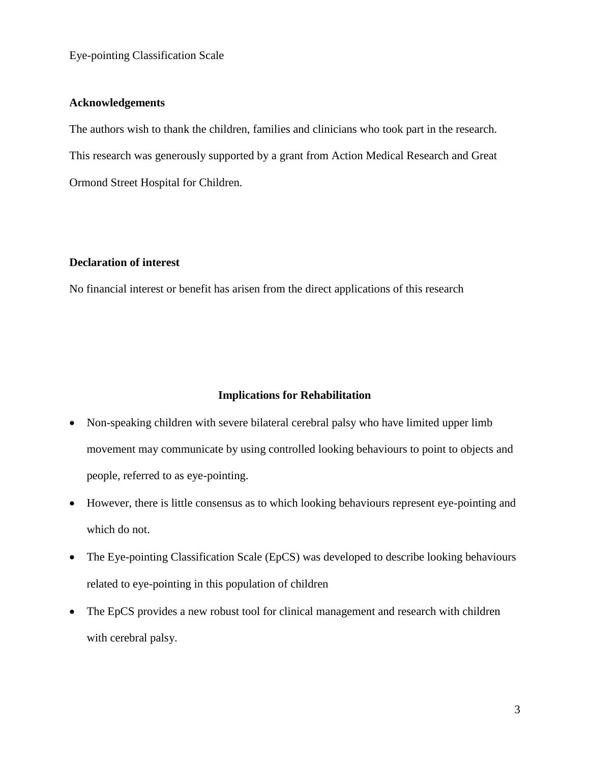## **Acknowledgements**

The authors wish to thank the children, families and clinicians who took part in the research. This research was generously supported by a grant from Action Medical Research and Great Ormond Street Hospital for Children.

## **Declaration of interest**

No financial interest or benefit has arisen from the direct applications of this research

#### **Implications for Rehabilitation**

- Non-speaking children with severe bilateral cerebral palsy who have limited upper limb movement may communicate by using controlled looking behaviours to point to objects and people, referred to as eye-pointing.
- However, there is little consensus as to which looking behaviours represent eye-pointing and which do not.
- The Eye-pointing Classification Scale (EpCS) was developed to describe looking behaviours related to eye-pointing in this population of children
- The EpCS provides a new robust tool for clinical management and research with children with cerebral palsy.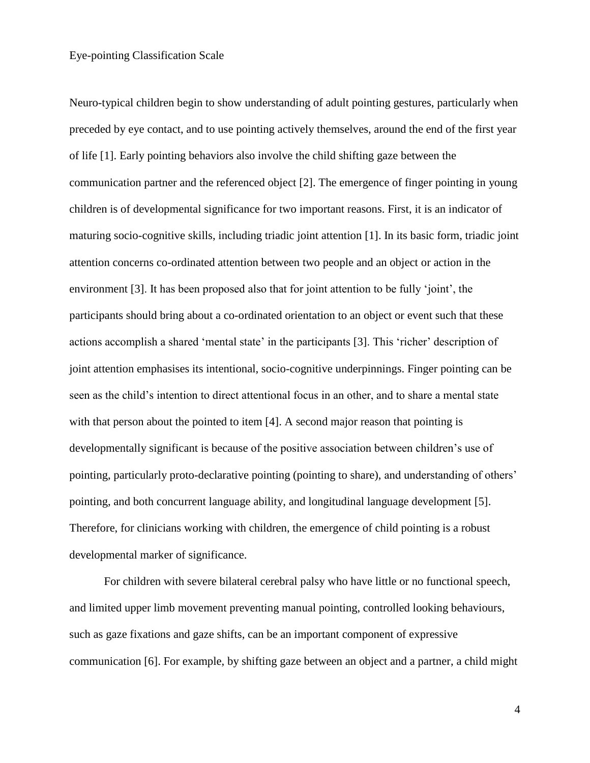Neuro-typical children begin to show understanding of adult pointing gestures, particularly when preceded by eye contact, and to use pointing actively themselves, around the end of the first year of life [1]. Early pointing behaviors also involve the child shifting gaze between the communication partner and the referenced object [2]. The emergence of finger pointing in young children is of developmental significance for two important reasons. First, it is an indicator of maturing socio-cognitive skills, including triadic joint attention [1]. In its basic form, triadic joint attention concerns co-ordinated attention between two people and an object or action in the environment [3]. It has been proposed also that for joint attention to be fully 'joint', the participants should bring about a co-ordinated orientation to an object or event such that these actions accomplish a shared 'mental state' in the participants [3]. This 'richer' description of joint attention emphasises its intentional, socio-cognitive underpinnings. Finger pointing can be seen as the child's intention to direct attentional focus in an other, and to share a mental state with that person about the pointed to item [4]. A second major reason that pointing is developmentally significant is because of the positive association between children's use of pointing, particularly proto-declarative pointing (pointing to share), and understanding of others' pointing, and both concurrent language ability, and longitudinal language development [5]. Therefore, for clinicians working with children, the emergence of child pointing is a robust developmental marker of significance.

For children with severe bilateral cerebral palsy who have little or no functional speech, and limited upper limb movement preventing manual pointing, controlled looking behaviours, such as gaze fixations and gaze shifts, can be an important component of expressive communication [6]. For example, by shifting gaze between an object and a partner, a child might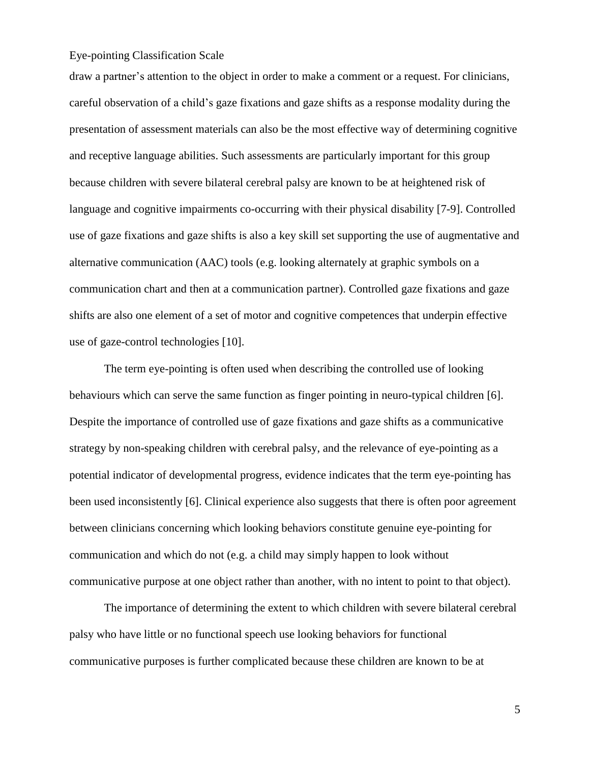draw a partner's attention to the object in order to make a comment or a request. For clinicians, careful observation of a child's gaze fixations and gaze shifts as a response modality during the presentation of assessment materials can also be the most effective way of determining cognitive and receptive language abilities. Such assessments are particularly important for this group because children with severe bilateral cerebral palsy are known to be at heightened risk of language and cognitive impairments co-occurring with their physical disability [7-9]. Controlled use of gaze fixations and gaze shifts is also a key skill set supporting the use of augmentative and alternative communication (AAC) tools (e.g. looking alternately at graphic symbols on a communication chart and then at a communication partner). Controlled gaze fixations and gaze shifts are also one element of a set of motor and cognitive competences that underpin effective use of gaze-control technologies [10].

The term eye-pointing is often used when describing the controlled use of looking behaviours which can serve the same function as finger pointing in neuro-typical children [6]. Despite the importance of controlled use of gaze fixations and gaze shifts as a communicative strategy by non-speaking children with cerebral palsy, and the relevance of eye-pointing as a potential indicator of developmental progress, evidence indicates that the term eye-pointing has been used inconsistently [6]. Clinical experience also suggests that there is often poor agreement between clinicians concerning which looking behaviors constitute genuine eye-pointing for communication and which do not (e.g. a child may simply happen to look without communicative purpose at one object rather than another, with no intent to point to that object).

The importance of determining the extent to which children with severe bilateral cerebral palsy who have little or no functional speech use looking behaviors for functional communicative purposes is further complicated because these children are known to be at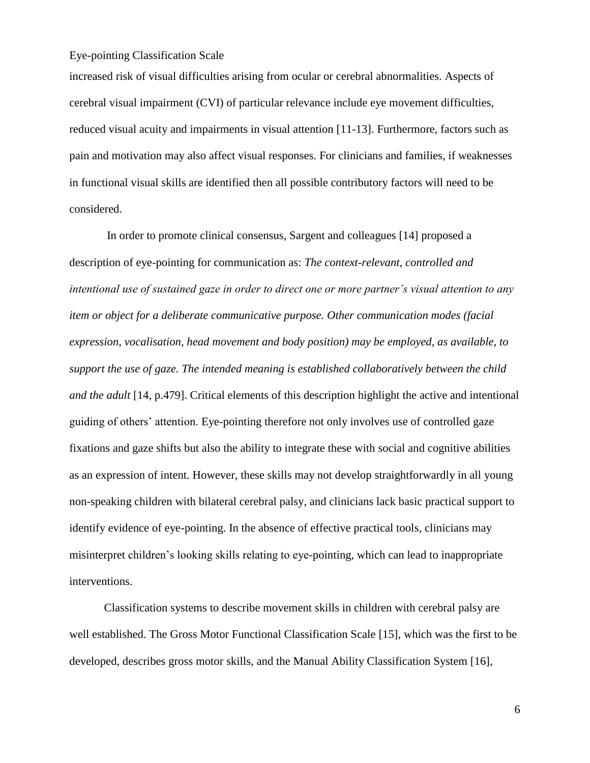increased risk of visual difficulties arising from ocular or cerebral abnormalities. Aspects of cerebral visual impairment (CVI) of particular relevance include eye movement difficulties, reduced visual acuity and impairments in visual attention [11-13]. Furthermore, factors such as pain and motivation may also affect visual responses. For clinicians and families, if weaknesses in functional visual skills are identified then all possible contributory factors will need to be considered.

In order to promote clinical consensus, Sargent and colleagues [14] proposed a description of eye-pointing for communication as: *The context-relevant, controlled and intentional use of sustained gaze in order to direct one or more partner's visual attention to any item or object for a deliberate communicative purpose. Other communication modes (facial expression, vocalisation, head movement and body position) may be employed, as available, to support the use of gaze. The intended meaning is established collaboratively between the child and the adult* [14, p.479]. Critical elements of this description highlight the active and intentional guiding of others' attention. Eye-pointing therefore not only involves use of controlled gaze fixations and gaze shifts but also the ability to integrate these with social and cognitive abilities as an expression of intent. However, these skills may not develop straightforwardly in all young non-speaking children with bilateral cerebral palsy, and clinicians lack basic practical support to identify evidence of eye-pointing. In the absence of effective practical tools, clinicians may misinterpret children's looking skills relating to eye-pointing, which can lead to inappropriate interventions.

Classification systems to describe movement skills in children with cerebral palsy are well established. The Gross Motor Functional Classification Scale [15], which was the first to be developed, describes gross motor skills, and the Manual Ability Classification System [16],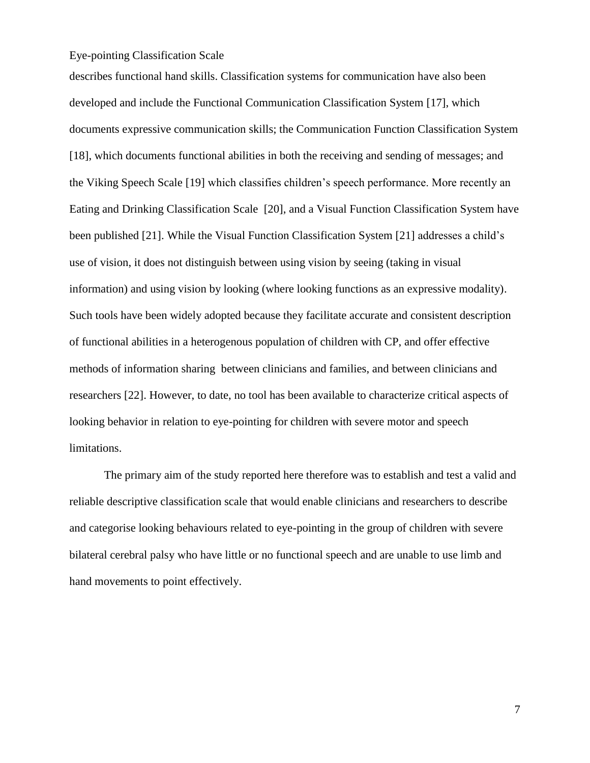describes functional hand skills. Classification systems for communication have also been developed and include the Functional Communication Classification System [17], which documents expressive communication skills; the Communication Function Classification System [18], which documents functional abilities in both the receiving and sending of messages; and the Viking Speech Scale [19] which classifies children's speech performance. More recently an Eating and Drinking Classification Scale [20], and a Visual Function Classification System have been published [21]. While the Visual Function Classification System [21] addresses a child's use of vision, it does not distinguish between using vision by seeing (taking in visual information) and using vision by looking (where looking functions as an expressive modality). Such tools have been widely adopted because they facilitate accurate and consistent description of functional abilities in a heterogenous population of children with CP, and offer effective methods of information sharing between clinicians and families, and between clinicians and researchers [22]. However, to date, no tool has been available to characterize critical aspects of looking behavior in relation to eye-pointing for children with severe motor and speech limitations.

The primary aim of the study reported here therefore was to establish and test a valid and reliable descriptive classification scale that would enable clinicians and researchers to describe and categorise looking behaviours related to eye-pointing in the group of children with severe bilateral cerebral palsy who have little or no functional speech and are unable to use limb and hand movements to point effectively.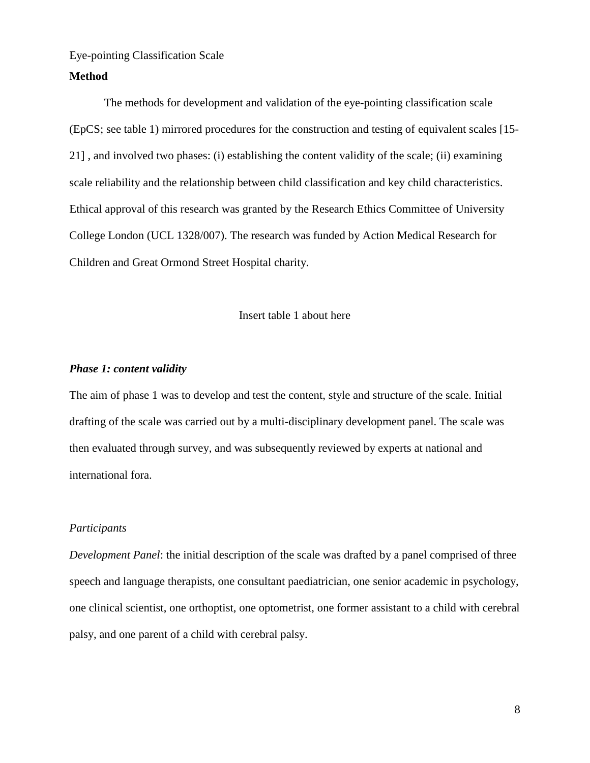#### **Method**

The methods for development and validation of the eye-pointing classification scale (EpCS; see table 1) mirrored procedures for the construction and testing of equivalent scales [15- 21] , and involved two phases: (i) establishing the content validity of the scale; (ii) examining scale reliability and the relationship between child classification and key child characteristics. Ethical approval of this research was granted by the Research Ethics Committee of University College London (UCL 1328/007). The research was funded by Action Medical Research for Children and Great Ormond Street Hospital charity.

#### Insert table 1 about here

#### *Phase 1: content validity*

The aim of phase 1 was to develop and test the content, style and structure of the scale. Initial drafting of the scale was carried out by a multi-disciplinary development panel. The scale was then evaluated through survey, and was subsequently reviewed by experts at national and international fora.

#### *Participants*

*Development Panel*: the initial description of the scale was drafted by a panel comprised of three speech and language therapists, one consultant paediatrician, one senior academic in psychology, one clinical scientist, one orthoptist, one optometrist, one former assistant to a child with cerebral palsy, and one parent of a child with cerebral palsy.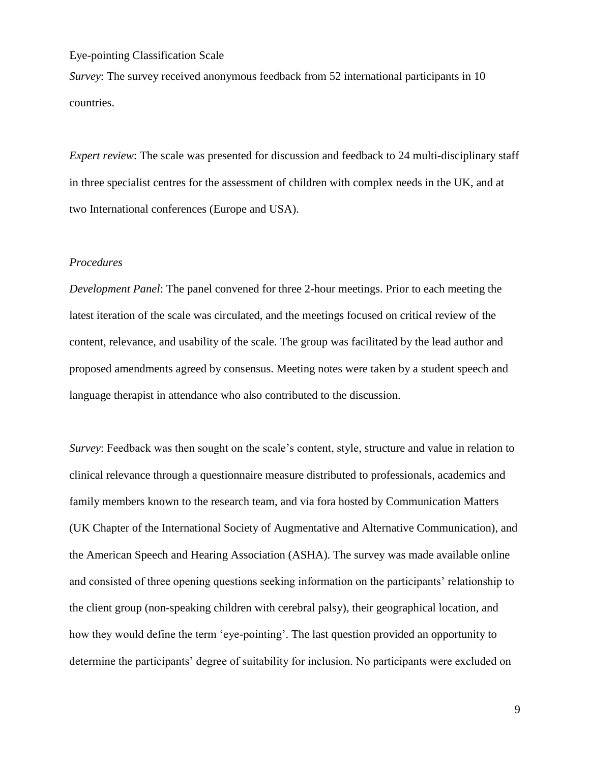*Survey*: The survey received anonymous feedback from 52 international participants in 10 countries.

*Expert review*: The scale was presented for discussion and feedback to 24 multi-disciplinary staff in three specialist centres for the assessment of children with complex needs in the UK, and at two International conferences (Europe and USA).

#### *Procedures*

*Development Panel*: The panel convened for three 2-hour meetings. Prior to each meeting the latest iteration of the scale was circulated, and the meetings focused on critical review of the content, relevance, and usability of the scale. The group was facilitated by the lead author and proposed amendments agreed by consensus. Meeting notes were taken by a student speech and language therapist in attendance who also contributed to the discussion.

*Survey*: Feedback was then sought on the scale's content, style, structure and value in relation to clinical relevance through a questionnaire measure distributed to professionals, academics and family members known to the research team, and via fora hosted by Communication Matters (UK Chapter of the International Society of Augmentative and Alternative Communication), and the American Speech and Hearing Association (ASHA). The survey was made available online and consisted of three opening questions seeking information on the participants' relationship to the client group (non-speaking children with cerebral palsy), their geographical location, and how they would define the term 'eye-pointing'. The last question provided an opportunity to determine the participants' degree of suitability for inclusion. No participants were excluded on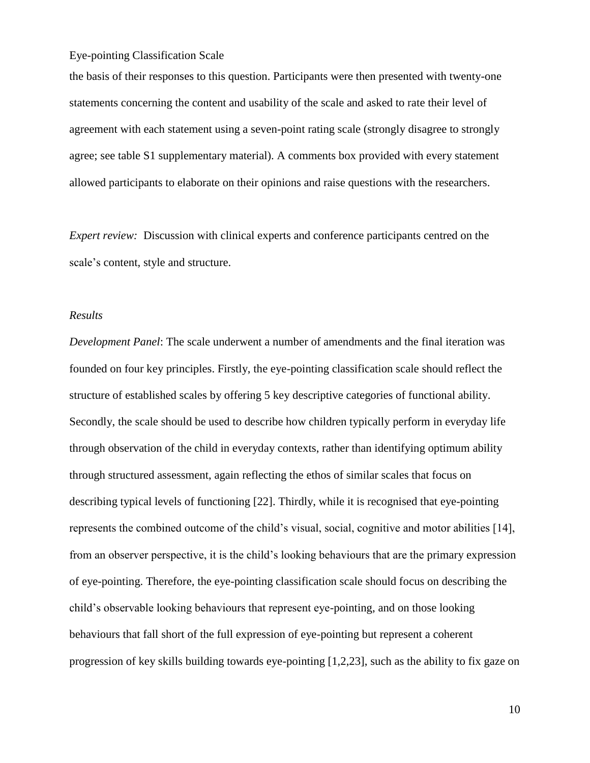the basis of their responses to this question. Participants were then presented with twenty-one statements concerning the content and usability of the scale and asked to rate their level of agreement with each statement using a seven-point rating scale (strongly disagree to strongly agree; see table S1 supplementary material). A comments box provided with every statement allowed participants to elaborate on their opinions and raise questions with the researchers.

*Expert review:* Discussion with clinical experts and conference participants centred on the scale's content, style and structure.

#### *Results*

*Development Panel*: The scale underwent a number of amendments and the final iteration was founded on four key principles. Firstly, the eye-pointing classification scale should reflect the structure of established scales by offering 5 key descriptive categories of functional ability. Secondly, the scale should be used to describe how children typically perform in everyday life through observation of the child in everyday contexts, rather than identifying optimum ability through structured assessment, again reflecting the ethos of similar scales that focus on describing typical levels of functioning [22]. Thirdly, while it is recognised that eye-pointing represents the combined outcome of the child's visual, social, cognitive and motor abilities [14], from an observer perspective, it is the child's looking behaviours that are the primary expression of eye-pointing. Therefore, the eye-pointing classification scale should focus on describing the child's observable looking behaviours that represent eye-pointing, and on those looking behaviours that fall short of the full expression of eye-pointing but represent a coherent progression of key skills building towards eye-pointing [1,2,23], such as the ability to fix gaze on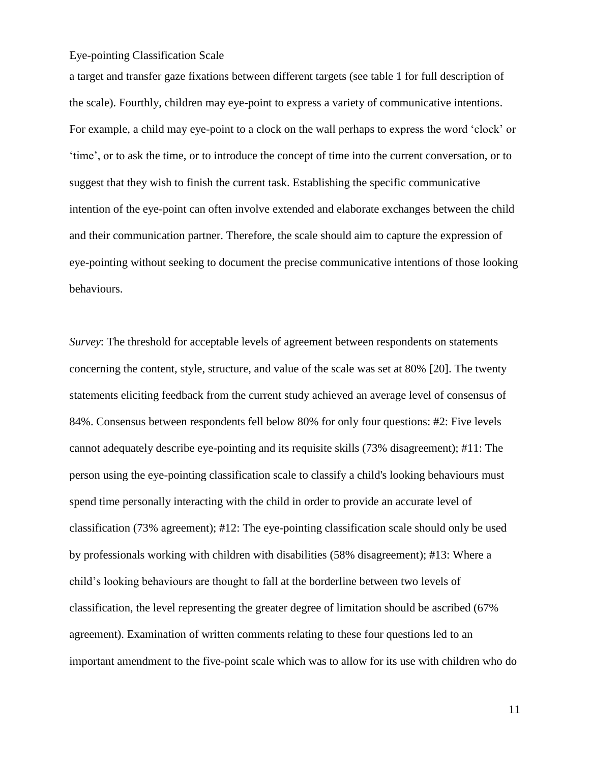a target and transfer gaze fixations between different targets (see table 1 for full description of the scale). Fourthly, children may eye-point to express a variety of communicative intentions. For example, a child may eye-point to a clock on the wall perhaps to express the word 'clock' or 'time', or to ask the time, or to introduce the concept of time into the current conversation, or to suggest that they wish to finish the current task. Establishing the specific communicative intention of the eye-point can often involve extended and elaborate exchanges between the child and their communication partner. Therefore, the scale should aim to capture the expression of eye-pointing without seeking to document the precise communicative intentions of those looking behaviours.

*Survey*: The threshold for acceptable levels of agreement between respondents on statements concerning the content, style, structure, and value of the scale was set at 80% [20]. The twenty statements eliciting feedback from the current study achieved an average level of consensus of 84%. Consensus between respondents fell below 80% for only four questions: #2: Five levels cannot adequately describe eye-pointing and its requisite skills (73% disagreement); #11: The person using the eye-pointing classification scale to classify a child's looking behaviours must spend time personally interacting with the child in order to provide an accurate level of classification (73% agreement); #12: The eye-pointing classification scale should only be used by professionals working with children with disabilities (58% disagreement); #13: Where a child's looking behaviours are thought to fall at the borderline between two levels of classification, the level representing the greater degree of limitation should be ascribed (67% agreement). Examination of written comments relating to these four questions led to an important amendment to the five-point scale which was to allow for its use with children who do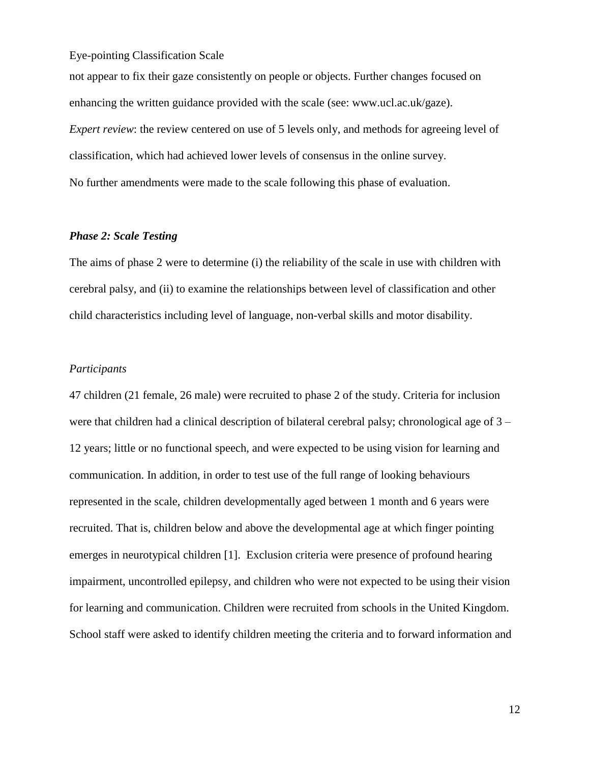not appear to fix their gaze consistently on people or objects. Further changes focused on enhancing the written guidance provided with the scale (see: www.ucl.ac.uk/gaze). *Expert review*: the review centered on use of 5 levels only, and methods for agreeing level of classification, which had achieved lower levels of consensus in the online survey. No further amendments were made to the scale following this phase of evaluation.

## *Phase 2: Scale Testing*

The aims of phase 2 were to determine (i) the reliability of the scale in use with children with cerebral palsy, and (ii) to examine the relationships between level of classification and other child characteristics including level of language, non-verbal skills and motor disability.

### *Participants*

47 children (21 female, 26 male) were recruited to phase 2 of the study. Criteria for inclusion were that children had a clinical description of bilateral cerebral palsy; chronological age of 3 – 12 years; little or no functional speech, and were expected to be using vision for learning and communication. In addition, in order to test use of the full range of looking behaviours represented in the scale, children developmentally aged between 1 month and 6 years were recruited. That is, children below and above the developmental age at which finger pointing emerges in neurotypical children [1]. Exclusion criteria were presence of profound hearing impairment, uncontrolled epilepsy, and children who were not expected to be using their vision for learning and communication. Children were recruited from schools in the United Kingdom. School staff were asked to identify children meeting the criteria and to forward information and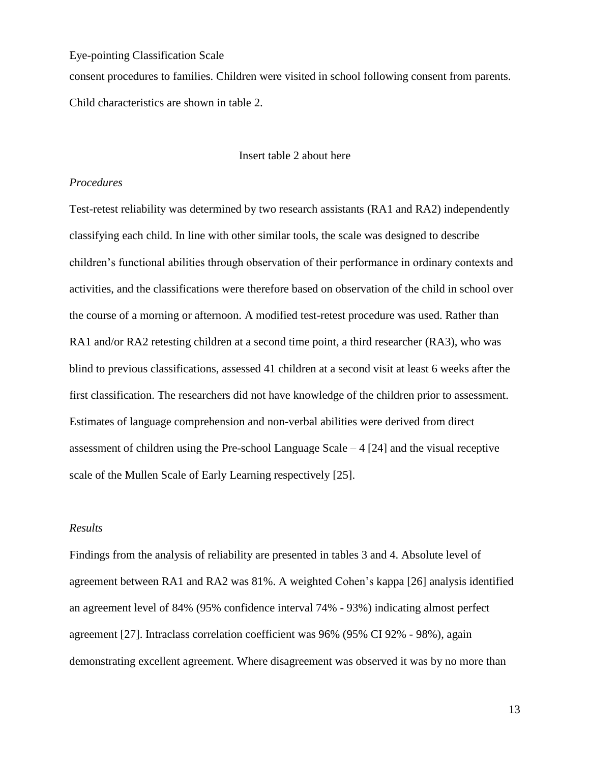consent procedures to families. Children were visited in school following consent from parents. Child characteristics are shown in table 2.

#### Insert table 2 about here

#### *Procedures*

Test-retest reliability was determined by two research assistants (RA1 and RA2) independently classifying each child. In line with other similar tools, the scale was designed to describe children's functional abilities through observation of their performance in ordinary contexts and activities, and the classifications were therefore based on observation of the child in school over the course of a morning or afternoon. A modified test-retest procedure was used. Rather than RA1 and/or RA2 retesting children at a second time point, a third researcher (RA3), who was blind to previous classifications, assessed 41 children at a second visit at least 6 weeks after the first classification. The researchers did not have knowledge of the children prior to assessment. Estimates of language comprehension and non-verbal abilities were derived from direct assessment of children using the Pre-school Language Scale  $-4$  [24] and the visual receptive scale of the Mullen Scale of Early Learning respectively [25].

#### *Results*

Findings from the analysis of reliability are presented in tables 3 and 4. Absolute level of agreement between RA1 and RA2 was 81%. A weighted Cohen's kappa [26] analysis identified an agreement level of 84% (95% confidence interval 74% - 93%) indicating almost perfect agreement [27]. Intraclass correlation coefficient was 96% (95% CI 92% - 98%), again demonstrating excellent agreement. Where disagreement was observed it was by no more than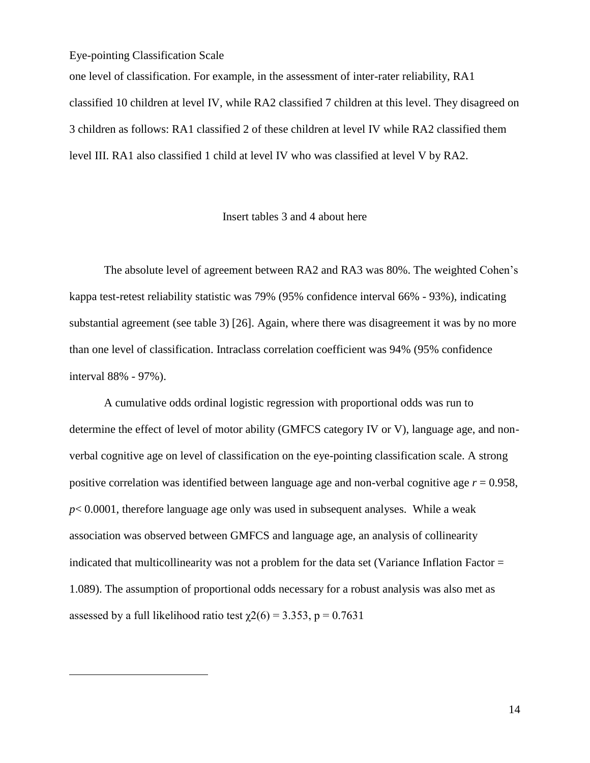$\overline{a}$ 

one level of classification. For example, in the assessment of inter-rater reliability, RA1 classified 10 children at level IV, while RA2 classified 7 children at this level. They disagreed on 3 children as follows: RA1 classified 2 of these children at level IV while RA2 classified them level III. RA1 also classified 1 child at level IV who was classified at level V by RA2.

#### Insert tables 3 and 4 about here

The absolute level of agreement between RA2 and RA3 was 80%. The weighted Cohen's kappa test-retest reliability statistic was 79% (95% confidence interval 66% - 93%), indicating substantial agreement (see table 3) [26]. Again, where there was disagreement it was by no more than one level of classification. Intraclass correlation coefficient was 94% (95% confidence interval 88% - 97%).

A cumulative odds ordinal logistic regression with proportional odds was run to determine the effect of level of motor ability (GMFCS category IV or V), language age, and nonverbal cognitive age on level of classification on the eye-pointing classification scale. A strong positive correlation was identified between language age and non-verbal cognitive age *r* = 0.958, *p*< 0.0001, therefore language age only was used in subsequent analyses. While a weak association was observed between GMFCS and language age, an analysis of collinearity indicated that multicollinearity was not a problem for the data set (Variance Inflation Factor = 1.089). The assumption of proportional odds necessary for a robust analysis was also met as assessed by a full likelihood ratio test  $\gamma$ 2(6) = 3.353, p = 0.7631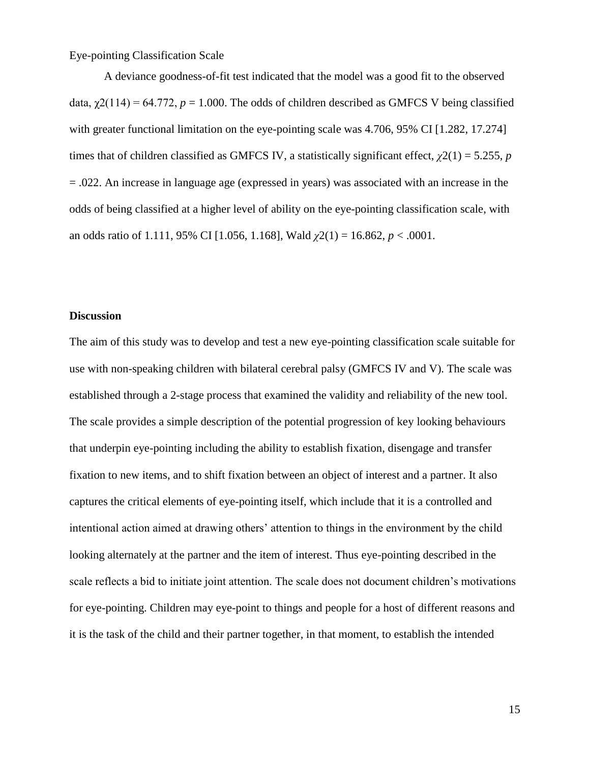A deviance goodness-of-fit test indicated that the model was a good fit to the observed data,  $\gamma$ 2(114) = 64.772,  $p = 1.000$ . The odds of children described as GMFCS V being classified with greater functional limitation on the eye-pointing scale was 4.706, 95% CI [1.282, 17.274] times that of children classified as GMFCS IV, a statistically significant effect,  $\chi^2(1) = 5.255$ , *p* = .022. An increase in language age (expressed in years) was associated with an increase in the odds of being classified at a higher level of ability on the eye-pointing classification scale, with an odds ratio of 1.111, 95% CI [1.056, 1.168], Wald *χ*2(1) = 16.862, *p* < .0001.

#### **Discussion**

The aim of this study was to develop and test a new eye-pointing classification scale suitable for use with non-speaking children with bilateral cerebral palsy (GMFCS IV and V). The scale was established through a 2-stage process that examined the validity and reliability of the new tool. The scale provides a simple description of the potential progression of key looking behaviours that underpin eye-pointing including the ability to establish fixation, disengage and transfer fixation to new items, and to shift fixation between an object of interest and a partner. It also captures the critical elements of eye-pointing itself, which include that it is a controlled and intentional action aimed at drawing others' attention to things in the environment by the child looking alternately at the partner and the item of interest. Thus eye-pointing described in the scale reflects a bid to initiate joint attention. The scale does not document children's motivations for eye-pointing. Children may eye-point to things and people for a host of different reasons and it is the task of the child and their partner together, in that moment, to establish the intended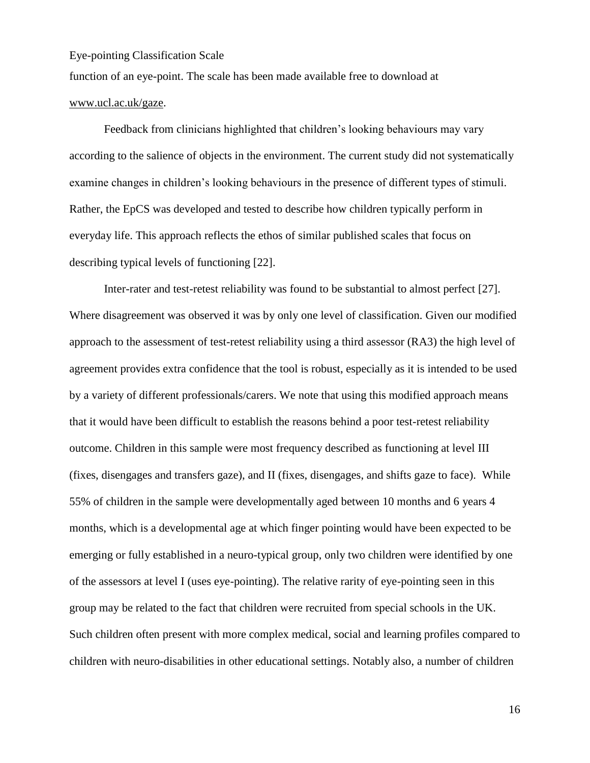function of an eye-point. The scale has been made available free to download at

## www.ucl.ac.uk/gaze.

Feedback from clinicians highlighted that children's looking behaviours may vary according to the salience of objects in the environment. The current study did not systematically examine changes in children's looking behaviours in the presence of different types of stimuli. Rather, the EpCS was developed and tested to describe how children typically perform in everyday life. This approach reflects the ethos of similar published scales that focus on describing typical levels of functioning [22].

Inter-rater and test-retest reliability was found to be substantial to almost perfect [27]. Where disagreement was observed it was by only one level of classification. Given our modified approach to the assessment of test-retest reliability using a third assessor (RA3) the high level of agreement provides extra confidence that the tool is robust, especially as it is intended to be used by a variety of different professionals/carers. We note that using this modified approach means that it would have been difficult to establish the reasons behind a poor test-retest reliability outcome. Children in this sample were most frequency described as functioning at level III (fixes, disengages and transfers gaze), and II (fixes, disengages, and shifts gaze to face). While 55% of children in the sample were developmentally aged between 10 months and 6 years 4 months, which is a developmental age at which finger pointing would have been expected to be emerging or fully established in a neuro-typical group, only two children were identified by one of the assessors at level I (uses eye-pointing). The relative rarity of eye-pointing seen in this group may be related to the fact that children were recruited from special schools in the UK. Such children often present with more complex medical, social and learning profiles compared to children with neuro-disabilities in other educational settings. Notably also, a number of children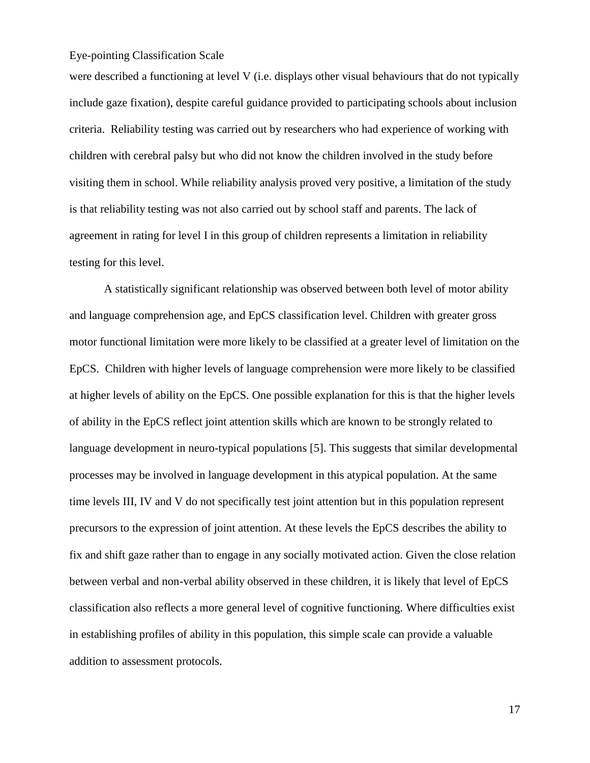were described a functioning at level V (i.e. displays other visual behaviours that do not typically include gaze fixation), despite careful guidance provided to participating schools about inclusion criteria. Reliability testing was carried out by researchers who had experience of working with children with cerebral palsy but who did not know the children involved in the study before visiting them in school. While reliability analysis proved very positive, a limitation of the study is that reliability testing was not also carried out by school staff and parents. The lack of agreement in rating for level I in this group of children represents a limitation in reliability testing for this level.

A statistically significant relationship was observed between both level of motor ability and language comprehension age, and EpCS classification level. Children with greater gross motor functional limitation were more likely to be classified at a greater level of limitation on the EpCS. Children with higher levels of language comprehension were more likely to be classified at higher levels of ability on the EpCS. One possible explanation for this is that the higher levels of ability in the EpCS reflect joint attention skills which are known to be strongly related to language development in neuro-typical populations [5]. This suggests that similar developmental processes may be involved in language development in this atypical population. At the same time levels III, IV and V do not specifically test joint attention but in this population represent precursors to the expression of joint attention. At these levels the EpCS describes the ability to fix and shift gaze rather than to engage in any socially motivated action. Given the close relation between verbal and non-verbal ability observed in these children, it is likely that level of EpCS classification also reflects a more general level of cognitive functioning. Where difficulties exist in establishing profiles of ability in this population, this simple scale can provide a valuable addition to assessment protocols.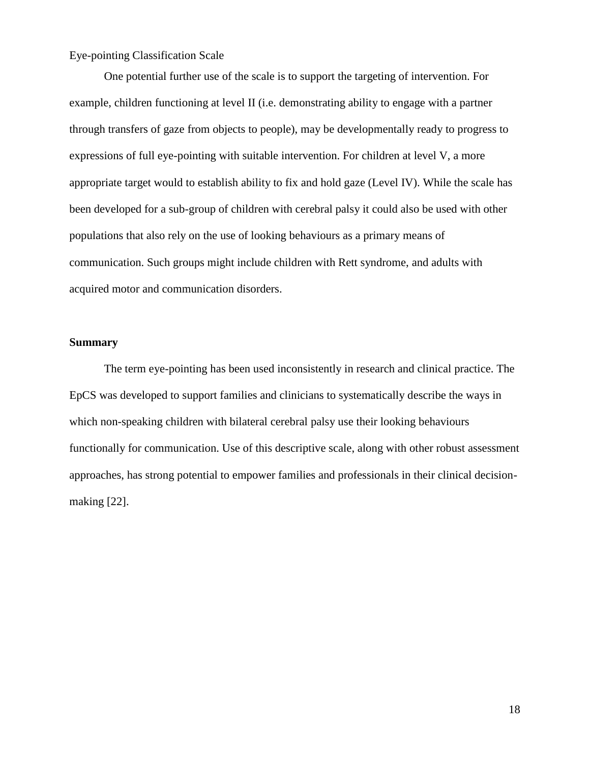One potential further use of the scale is to support the targeting of intervention. For example, children functioning at level II (i.e. demonstrating ability to engage with a partner through transfers of gaze from objects to people), may be developmentally ready to progress to expressions of full eye-pointing with suitable intervention. For children at level V, a more appropriate target would to establish ability to fix and hold gaze (Level IV). While the scale has been developed for a sub-group of children with cerebral palsy it could also be used with other populations that also rely on the use of looking behaviours as a primary means of communication. Such groups might include children with Rett syndrome, and adults with acquired motor and communication disorders.

#### **Summary**

The term eye-pointing has been used inconsistently in research and clinical practice. The EpCS was developed to support families and clinicians to systematically describe the ways in which non-speaking children with bilateral cerebral palsy use their looking behaviours functionally for communication. Use of this descriptive scale, along with other robust assessment approaches, has strong potential to empower families and professionals in their clinical decisionmaking [22].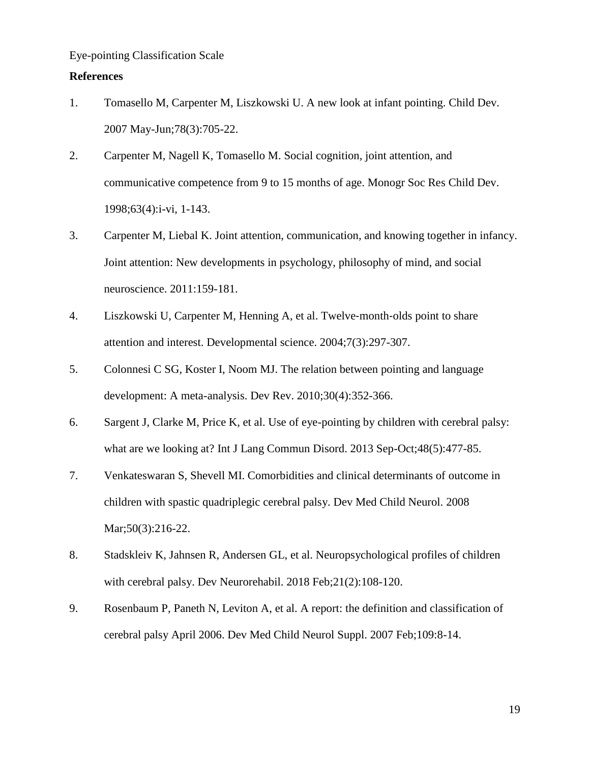#### **References**

- 1. Tomasello M, Carpenter M, Liszkowski U. A new look at infant pointing. Child Dev. 2007 May-Jun;78(3):705-22.
- 2. Carpenter M, Nagell K, Tomasello M. Social cognition, joint attention, and communicative competence from 9 to 15 months of age. Monogr Soc Res Child Dev. 1998;63(4):i-vi, 1-143.
- 3. Carpenter M, Liebal K. Joint attention, communication, and knowing together in infancy. Joint attention: New developments in psychology, philosophy of mind, and social neuroscience. 2011:159-181.
- 4. Liszkowski U, Carpenter M, Henning A, et al. Twelve-month-olds point to share attention and interest. Developmental science. 2004;7(3):297-307.
- 5. Colonnesi C SG, Koster I, Noom MJ. The relation between pointing and language development: A meta-analysis. Dev Rev. 2010;30(4):352-366.
- 6. Sargent J, Clarke M, Price K, et al. Use of eye-pointing by children with cerebral palsy: what are we looking at? Int J Lang Commun Disord. 2013 Sep-Oct;48(5):477-85.
- 7. Venkateswaran S, Shevell MI. Comorbidities and clinical determinants of outcome in children with spastic quadriplegic cerebral palsy. Dev Med Child Neurol. 2008 Mar;50(3):216-22.
- 8. Stadskleiv K, Jahnsen R, Andersen GL, et al. Neuropsychological profiles of children with cerebral palsy. Dev Neurorehabil. 2018 Feb;21(2):108-120.
- 9. Rosenbaum P, Paneth N, Leviton A, et al. A report: the definition and classification of cerebral palsy April 2006. Dev Med Child Neurol Suppl. 2007 Feb;109:8-14.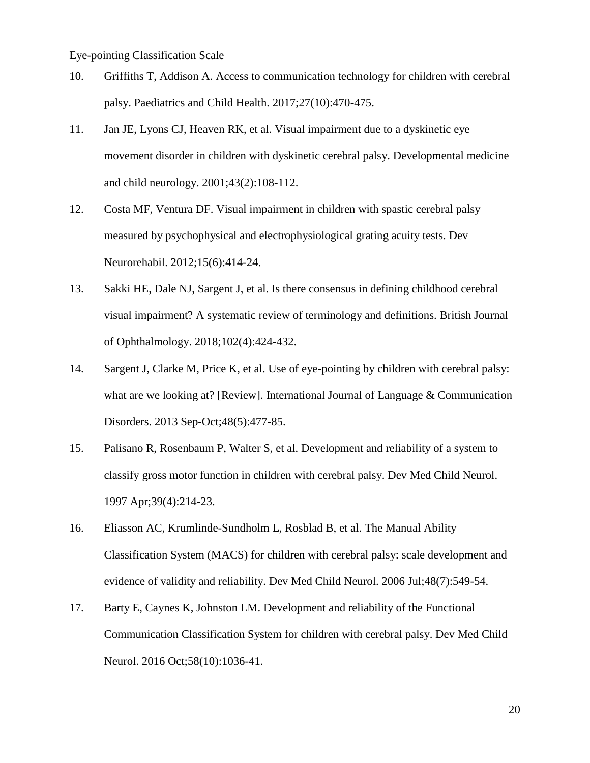- 10. Griffiths T, Addison A. Access to communication technology for children with cerebral palsy. Paediatrics and Child Health. 2017;27(10):470-475.
- 11. Jan JE, Lyons CJ, Heaven RK, et al. Visual impairment due to a dyskinetic eye movement disorder in children with dyskinetic cerebral palsy. Developmental medicine and child neurology. 2001;43(2):108-112.
- 12. Costa MF, Ventura DF. Visual impairment in children with spastic cerebral palsy measured by psychophysical and electrophysiological grating acuity tests. Dev Neurorehabil. 2012;15(6):414-24.
- 13. Sakki HE, Dale NJ, Sargent J, et al. Is there consensus in defining childhood cerebral visual impairment? A systematic review of terminology and definitions. British Journal of Ophthalmology. 2018;102(4):424-432.
- 14. Sargent J, Clarke M, Price K, et al. Use of eye-pointing by children with cerebral palsy: what are we looking at? [Review]. International Journal of Language & Communication Disorders. 2013 Sep-Oct;48(5):477-85.
- 15. Palisano R, Rosenbaum P, Walter S, et al. Development and reliability of a system to classify gross motor function in children with cerebral palsy. Dev Med Child Neurol. 1997 Apr;39(4):214-23.
- 16. Eliasson AC, Krumlinde-Sundholm L, Rosblad B, et al. The Manual Ability Classification System (MACS) for children with cerebral palsy: scale development and evidence of validity and reliability. Dev Med Child Neurol. 2006 Jul;48(7):549-54.
- 17. Barty E, Caynes K, Johnston LM. Development and reliability of the Functional Communication Classification System for children with cerebral palsy. Dev Med Child Neurol. 2016 Oct;58(10):1036-41.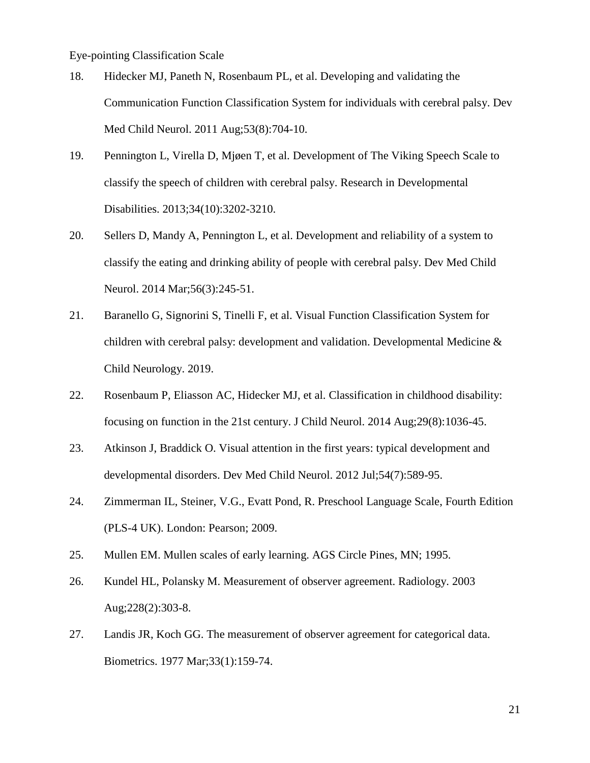- 18. Hidecker MJ, Paneth N, Rosenbaum PL, et al. Developing and validating the Communication Function Classification System for individuals with cerebral palsy. Dev Med Child Neurol. 2011 Aug;53(8):704-10.
- 19. Pennington L, Virella D, Mjøen T, et al. Development of The Viking Speech Scale to classify the speech of children with cerebral palsy. Research in Developmental Disabilities. 2013;34(10):3202-3210.
- 20. Sellers D, Mandy A, Pennington L, et al. Development and reliability of a system to classify the eating and drinking ability of people with cerebral palsy. Dev Med Child Neurol. 2014 Mar;56(3):245-51.
- 21. Baranello G, Signorini S, Tinelli F, et al. Visual Function Classification System for children with cerebral palsy: development and validation. Developmental Medicine & Child Neurology. 2019.
- 22. Rosenbaum P, Eliasson AC, Hidecker MJ, et al. Classification in childhood disability: focusing on function in the 21st century. J Child Neurol. 2014 Aug;29(8):1036-45.
- 23. Atkinson J, Braddick O. Visual attention in the first years: typical development and developmental disorders. Dev Med Child Neurol. 2012 Jul;54(7):589-95.
- 24. Zimmerman IL, Steiner, V.G., Evatt Pond, R. Preschool Language Scale, Fourth Edition (PLS-4 UK). London: Pearson; 2009.
- 25. Mullen EM. Mullen scales of early learning. AGS Circle Pines, MN; 1995.
- 26. Kundel HL, Polansky M. Measurement of observer agreement. Radiology. 2003 Aug;228(2):303-8.
- 27. Landis JR, Koch GG. The measurement of observer agreement for categorical data. Biometrics. 1977 Mar;33(1):159-74.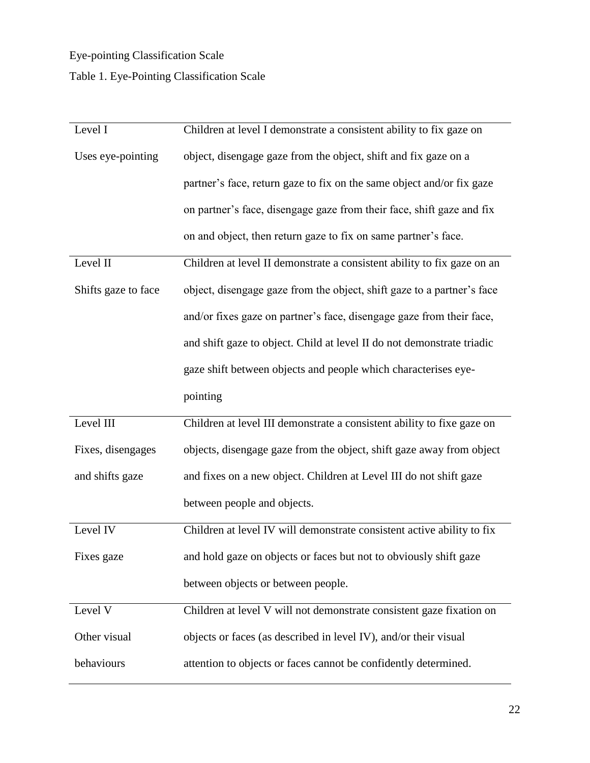## Table 1. Eye-Pointing Classification Scale

| Level I             | Children at level I demonstrate a consistent ability to fix gaze on     |
|---------------------|-------------------------------------------------------------------------|
| Uses eye-pointing   | object, disengage gaze from the object, shift and fix gaze on a         |
|                     | partner's face, return gaze to fix on the same object and/or fix gaze   |
|                     | on partner's face, disengage gaze from their face, shift gaze and fix   |
|                     | on and object, then return gaze to fix on same partner's face.          |
| Level II            | Children at level II demonstrate a consistent ability to fix gaze on an |
| Shifts gaze to face | object, disengage gaze from the object, shift gaze to a partner's face  |
|                     | and/or fixes gaze on partner's face, disengage gaze from their face,    |
|                     | and shift gaze to object. Child at level II do not demonstrate triadic  |
|                     | gaze shift between objects and people which characterises eye-          |
|                     | pointing                                                                |
|                     |                                                                         |
| Level III           | Children at level III demonstrate a consistent ability to fixe gaze on  |
| Fixes, disengages   | objects, disengage gaze from the object, shift gaze away from object    |
| and shifts gaze     | and fixes on a new object. Children at Level III do not shift gaze      |
|                     | between people and objects.                                             |
| Level IV            | Children at level IV will demonstrate consistent active ability to fix  |
| Fixes gaze          | and hold gaze on objects or faces but not to obviously shift gaze       |
|                     | between objects or between people.                                      |
| Level V             | Children at level V will not demonstrate consistent gaze fixation on    |
| Other visual        | objects or faces (as described in level IV), and/or their visual        |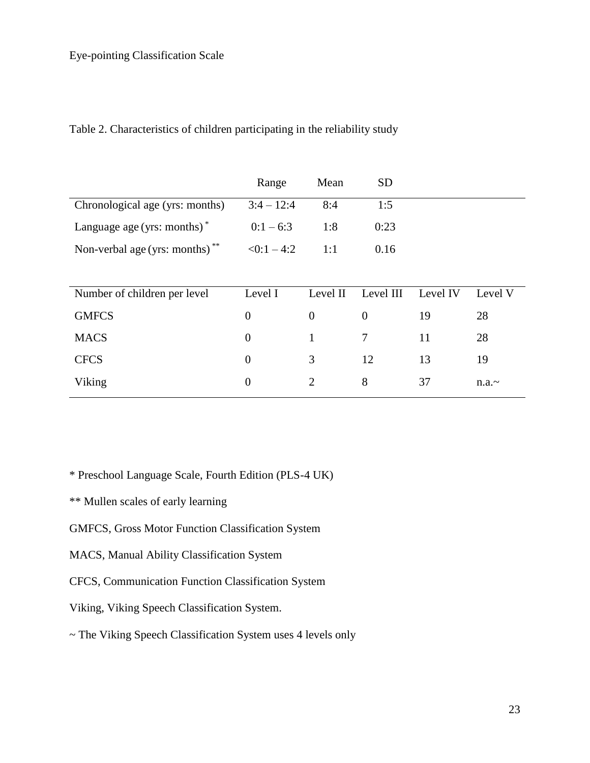| Table 2. Characteristics of children participating in the reliability study |  |  |
|-----------------------------------------------------------------------------|--|--|
|-----------------------------------------------------------------------------|--|--|

|                                            | Range            | Mean           | <b>SD</b>      |          |         |
|--------------------------------------------|------------------|----------------|----------------|----------|---------|
| Chronological age (yrs: months)            | $3:4 - 12:4$     | 8:4            | 1:5            |          |         |
| Language age (yrs: months) $*$             | $0:1-6:3$        | 1:8            | 0:23           |          |         |
| Non-verbal age (yrs: months) <sup>**</sup> | $\leq 0:1-4:2$   | 1:1            | 0.16           |          |         |
|                                            |                  |                |                |          |         |
| Number of children per level               | Level I          | Level II       | Level III      | Level IV | Level V |
| <b>GMFCS</b>                               | $\boldsymbol{0}$ | $\overline{0}$ | $\overline{0}$ | 19       | 28      |
| <b>MACS</b>                                | $\boldsymbol{0}$ |                | 7              | 11       | 28      |

CFCS 0 3 12 13 19

Viking  $0$  2 8 37 n.a.~

\* Preschool Language Scale, Fourth Edition (PLS-4 UK)

- \*\* Mullen scales of early learning
- GMFCS, Gross Motor Function Classification System
- MACS, Manual Ability Classification System
- CFCS, Communication Function Classification System
- Viking, Viking Speech Classification System.
- ~ The Viking Speech Classification System uses 4 levels only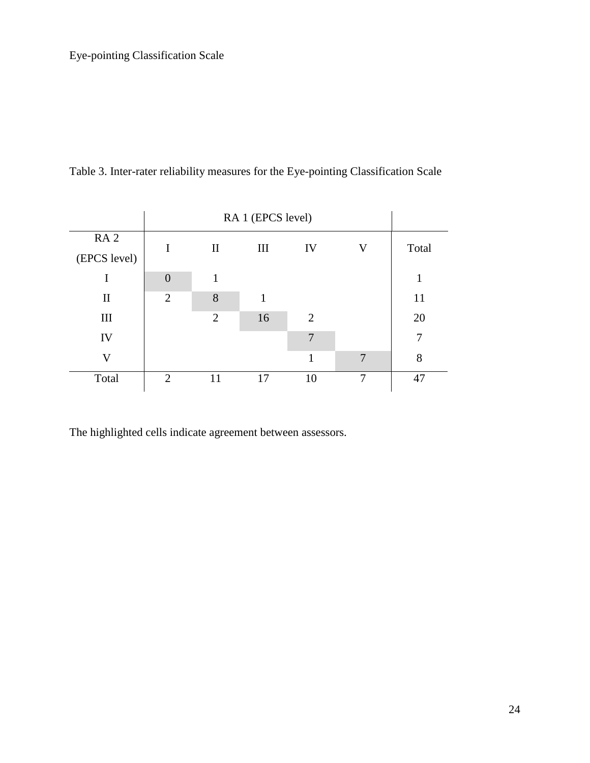|                    | RA 1 (EPCS level) |                |     |    |                         |       |
|--------------------|-------------------|----------------|-----|----|-------------------------|-------|
| RA <sub>2</sub>    | I                 | $\mathbf{I}$   | III | IV | $\overline{\mathsf{V}}$ | Total |
| (EPCS level)       |                   |                |     |    |                         |       |
| I                  | $\overline{0}$    | 1              |     |    |                         | 1     |
| $\mathbf{I}$       | $\overline{2}$    | 8              | 1   |    |                         | 11    |
| $\mathop{\rm III}$ |                   | $\overline{2}$ | 16  | 2  |                         | 20    |
| IV                 |                   |                |     | 7  |                         | 7     |
| V                  |                   |                |     | 1  | 7                       | 8     |
| Total              | 2                 | 11             | 17  | 10 | 7                       | 47    |

Table 3. Inter-rater reliability measures for the Eye-pointing Classification Scale

The highlighted cells indicate agreement between assessors.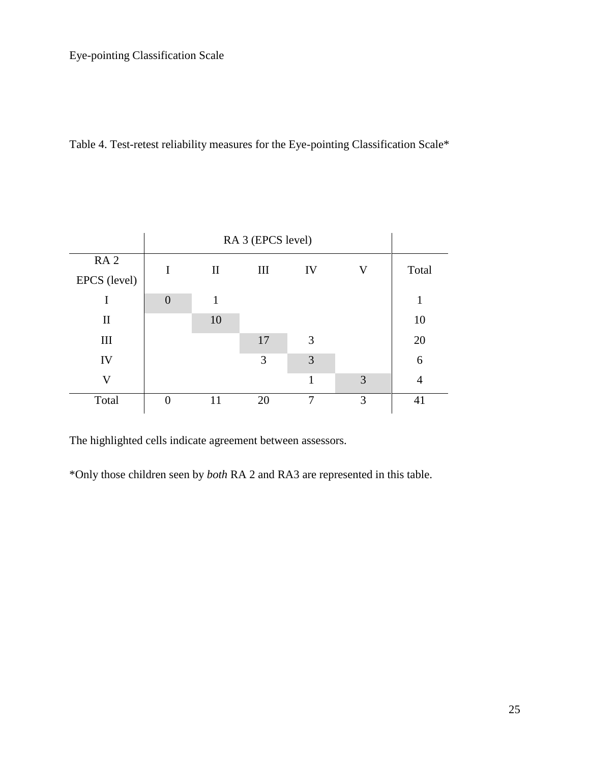Table 4. Test-retest reliability measures for the Eye-pointing Classification Scale\*

|                 | RA 3 (EPCS level) |              |     |    |             |       |
|-----------------|-------------------|--------------|-----|----|-------------|-------|
| RA <sub>2</sub> | I                 | $\mathbf{I}$ | III | IV | $\mathbf V$ | Total |
| EPCS (level)    |                   |              |     |    |             |       |
| T               | $\overline{0}$    |              |     |    |             | 1     |
| $\mathbf{I}$    |                   | 10           |     |    |             | 10    |
| III             |                   |              | 17  | 3  |             | 20    |
| IV              |                   |              | 3   | 3  |             | 6     |
| V               |                   |              |     | 1  | 3           | 4     |
| Total           | $\theta$          | 11           | 20  | 7  | 3           | 41    |
|                 |                   |              |     |    |             |       |

The highlighted cells indicate agreement between assessors.

\*Only those children seen by *both* RA 2 and RA3 are represented in this table.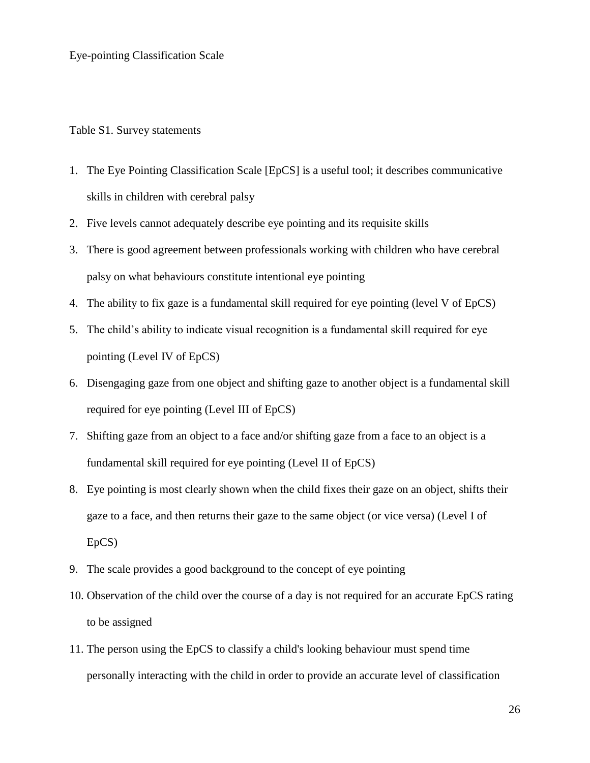Table S1. Survey statements

- 1. The Eye Pointing Classification Scale [EpCS] is a useful tool; it describes communicative skills in children with cerebral palsy
- 2. Five levels cannot adequately describe eye pointing and its requisite skills
- 3. There is good agreement between professionals working with children who have cerebral palsy on what behaviours constitute intentional eye pointing
- 4. The ability to fix gaze is a fundamental skill required for eye pointing (level V of EpCS)
- 5. The child's ability to indicate visual recognition is a fundamental skill required for eye pointing (Level IV of EpCS)
- 6. Disengaging gaze from one object and shifting gaze to another object is a fundamental skill required for eye pointing (Level III of EpCS)
- 7. Shifting gaze from an object to a face and/or shifting gaze from a face to an object is a fundamental skill required for eye pointing (Level II of EpCS)
- 8. Eye pointing is most clearly shown when the child fixes their gaze on an object, shifts their gaze to a face, and then returns their gaze to the same object (or vice versa) (Level I of EpCS)
- 9. The scale provides a good background to the concept of eye pointing
- 10. Observation of the child over the course of a day is not required for an accurate EpCS rating to be assigned
- 11. The person using the EpCS to classify a child's looking behaviour must spend time personally interacting with the child in order to provide an accurate level of classification